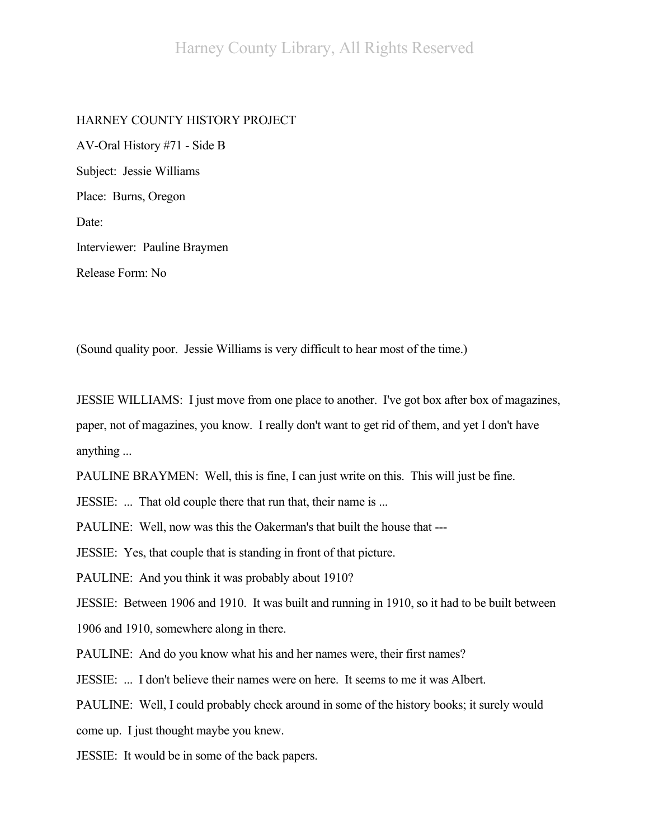## HARNEY COUNTY HISTORY PROJECT

AV-Oral History #71 - Side B Subject: Jessie Williams Place: Burns, Oregon Date: Interviewer: Pauline Braymen Release Form: No

(Sound quality poor. Jessie Williams is very difficult to hear most of the time.)

JESSIE WILLIAMS: I just move from one place to another. I've got box after box of magazines, paper, not of magazines, you know. I really don't want to get rid of them, and yet I don't have anything ...

PAULINE BRAYMEN: Well, this is fine, I can just write on this. This will just be fine.

JESSIE: ... That old couple there that run that, their name is ...

PAULINE: Well, now was this the Oakerman's that built the house that ---

JESSIE: Yes, that couple that is standing in front of that picture.

PAULINE: And you think it was probably about 1910?

JESSIE: Between 1906 and 1910. It was built and running in 1910, so it had to be built between

1906 and 1910, somewhere along in there.

PAULINE: And do you know what his and her names were, their first names?

JESSIE: ... I don't believe their names were on here. It seems to me it was Albert.

PAULINE: Well, I could probably check around in some of the history books; it surely would

come up. I just thought maybe you knew.

JESSIE: It would be in some of the back papers.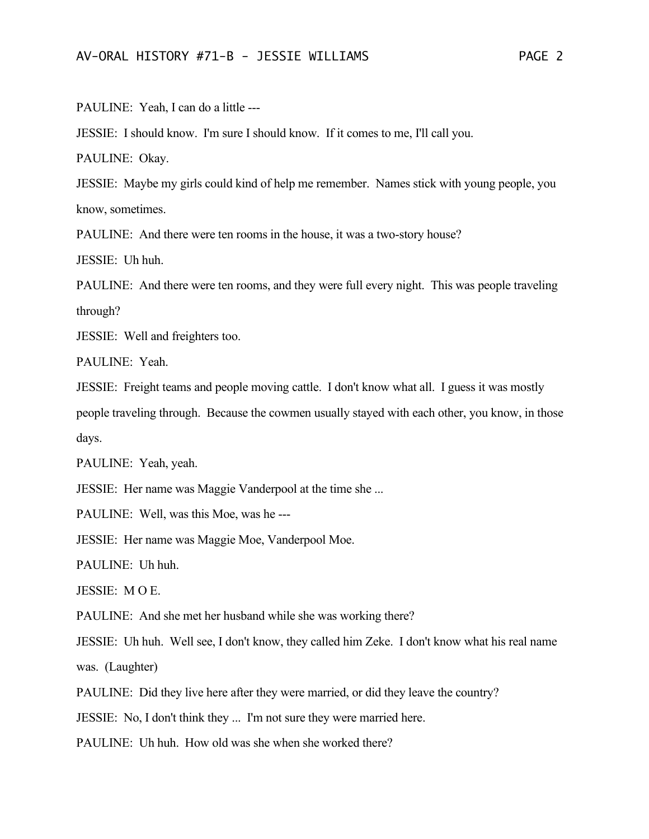PAULINE: Yeah, I can do a little ---

JESSIE: I should know. I'm sure I should know. If it comes to me, I'll call you.

PAULINE: Okay.

JESSIE: Maybe my girls could kind of help me remember. Names stick with young people, you know, sometimes.

PAULINE: And there were ten rooms in the house, it was a two-story house?

JESSIE: Uh huh.

PAULINE: And there were ten rooms, and they were full every night. This was people traveling through?

JESSIE: Well and freighters too.

PAULINE: Yeah.

JESSIE: Freight teams and people moving cattle. I don't know what all. I guess it was mostly people traveling through. Because the cowmen usually stayed with each other, you know, in those days.

PAULINE: Yeah, yeah.

JESSIE: Her name was Maggie Vanderpool at the time she ...

PAULINE: Well, was this Moe, was he ---

JESSIE: Her name was Maggie Moe, Vanderpool Moe.

PAULINE: Uh huh.

JESSIE: M O E.

PAULINE: And she met her husband while she was working there?

JESSIE: Uh huh. Well see, I don't know, they called him Zeke. I don't know what his real name was. (Laughter)

PAULINE: Did they live here after they were married, or did they leave the country?

JESSIE: No, I don't think they ... I'm not sure they were married here.

PAULINE: Uh huh. How old was she when she worked there?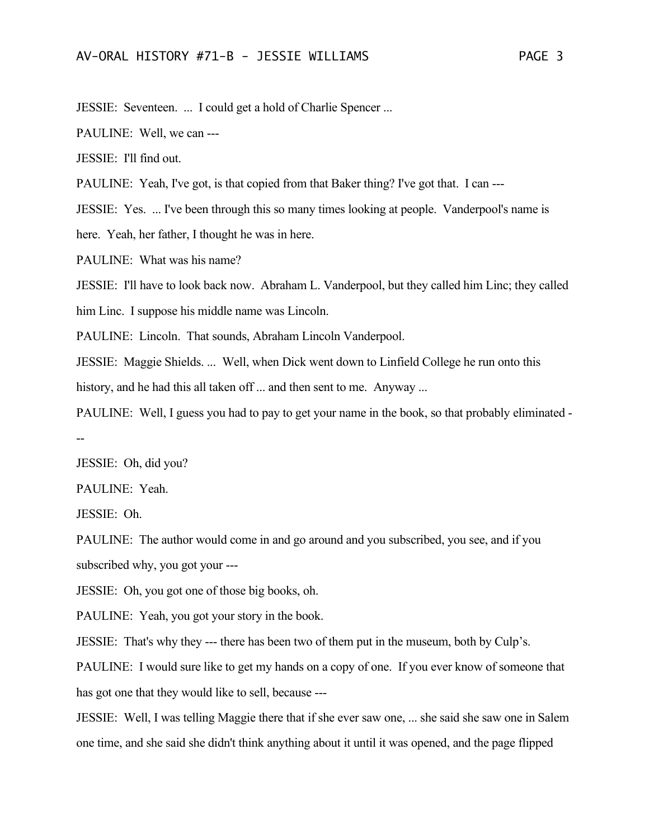JESSIE: Seventeen. ... I could get a hold of Charlie Spencer ...

PAULINE: Well, we can ---

JESSIE: I'll find out.

PAULINE: Yeah, I've got, is that copied from that Baker thing? I've got that. I can ---

JESSIE: Yes. ... I've been through this so many times looking at people. Vanderpool's name is

here. Yeah, her father, I thought he was in here.

PAULINE: What was his name?

JESSIE: I'll have to look back now. Abraham L. Vanderpool, but they called him Linc; they called him Linc. I suppose his middle name was Lincoln.

PAULINE: Lincoln. That sounds, Abraham Lincoln Vanderpool.

JESSIE: Maggie Shields. ... Well, when Dick went down to Linfield College he run onto this

history, and he had this all taken off ... and then sent to me. Anyway ...

PAULINE: Well, I guess you had to pay to get your name in the book, so that probably eliminated - --

JESSIE: Oh, did you?

PAULINE: Yeah.

JESSIE: Oh.

PAULINE: The author would come in and go around and you subscribed, you see, and if you subscribed why, you got your ---

JESSIE: Oh, you got one of those big books, oh.

PAULINE: Yeah, you got your story in the book.

JESSIE: That's why they --- there has been two of them put in the museum, both by Culp's.

PAULINE: I would sure like to get my hands on a copy of one. If you ever know of someone that has got one that they would like to sell, because ---

JESSIE: Well, I was telling Maggie there that if she ever saw one, ... she said she saw one in Salem one time, and she said she didn't think anything about it until it was opened, and the page flipped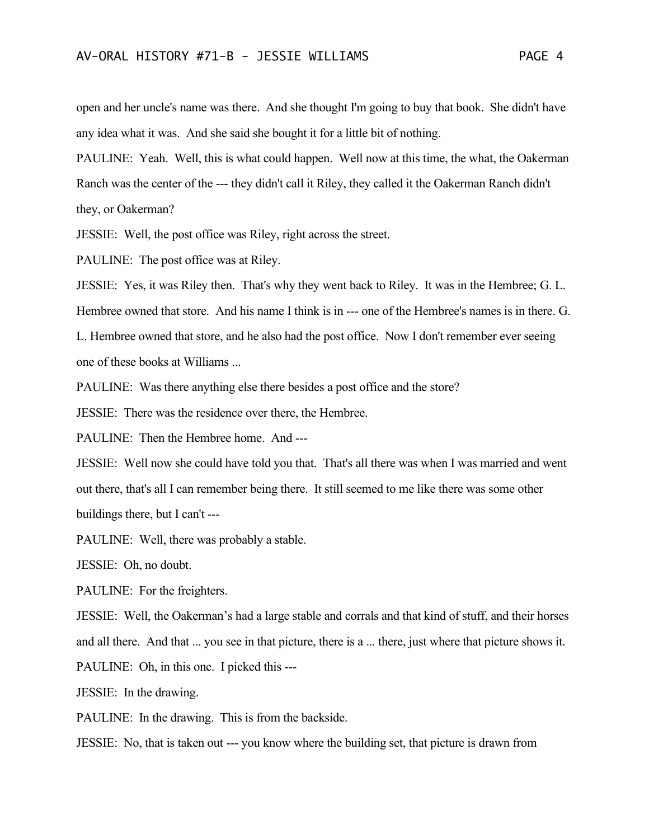open and her uncle's name was there. And she thought I'm going to buy that book. She didn't have any idea what it was. And she said she bought it for a little bit of nothing.

PAULINE: Yeah. Well, this is what could happen. Well now at this time, the what, the Oakerman Ranch was the center of the --- they didn't call it Riley, they called it the Oakerman Ranch didn't they, or Oakerman?

JESSIE: Well, the post office was Riley, right across the street.

PAULINE: The post office was at Riley.

JESSIE: Yes, it was Riley then. That's why they went back to Riley. It was in the Hembree; G. L.

Hembree owned that store. And his name I think is in --- one of the Hembree's names is in there. G.

L. Hembree owned that store, and he also had the post office. Now I don't remember ever seeing one of these books at Williams ...

PAULINE: Was there anything else there besides a post office and the store?

JESSIE: There was the residence over there, the Hembree.

PAULINE: Then the Hembree home. And ---

JESSIE: Well now she could have told you that. That's all there was when I was married and went out there, that's all I can remember being there. It still seemed to me like there was some other buildings there, but I can't ---

PAULINE: Well, there was probably a stable.

JESSIE: Oh, no doubt.

PAULINE: For the freighters.

JESSIE: Well, the Oakerman's had a large stable and corrals and that kind of stuff, and their horses and all there. And that ... you see in that picture, there is a ... there, just where that picture shows it.

PAULINE: Oh, in this one. I picked this ---

JESSIE: In the drawing.

PAULINE: In the drawing. This is from the backside.

JESSIE: No, that is taken out --- you know where the building set, that picture is drawn from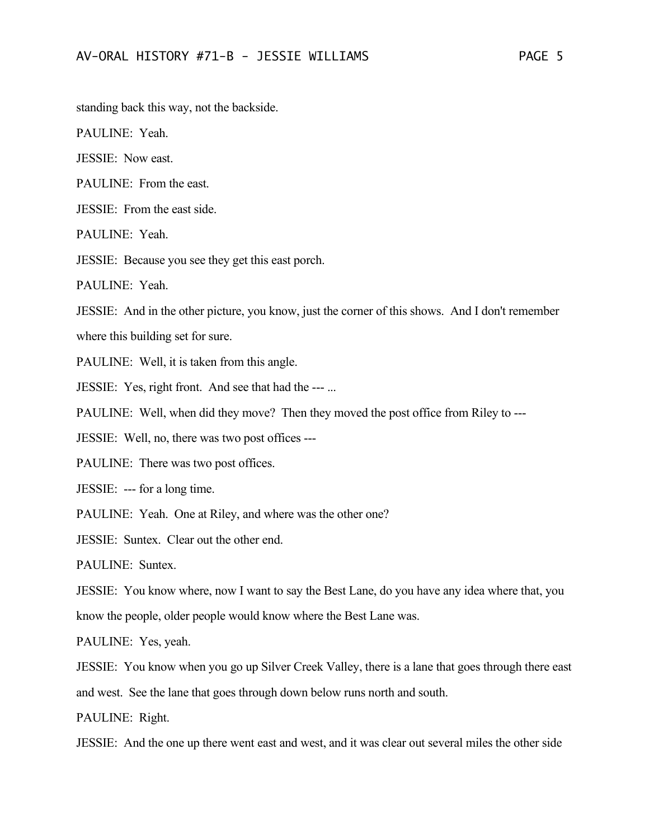standing back this way, not the backside.

PAULINE: Yeah.

JESSIE: Now east.

PAULINE: From the east.

JESSIE: From the east side.

PAULINE: Yeah.

JESSIE: Because you see they get this east porch.

PAULINE: Yeah.

JESSIE: And in the other picture, you know, just the corner of this shows. And I don't remember

where this building set for sure.

PAULINE: Well, it is taken from this angle.

JESSIE: Yes, right front. And see that had the --- ...

PAULINE: Well, when did they move? Then they moved the post office from Riley to ---

JESSIE: Well, no, there was two post offices ---

PAULINE: There was two post offices.

JESSIE: --- for a long time.

PAULINE: Yeah. One at Riley, and where was the other one?

JESSIE: Suntex. Clear out the other end.

PAULINE: Suntex.

JESSIE: You know where, now I want to say the Best Lane, do you have any idea where that, you know the people, older people would know where the Best Lane was.

PAULINE: Yes, yeah.

JESSIE: You know when you go up Silver Creek Valley, there is a lane that goes through there east and west. See the lane that goes through down below runs north and south.

PAULINE: Right.

JESSIE: And the one up there went east and west, and it was clear out several miles the other side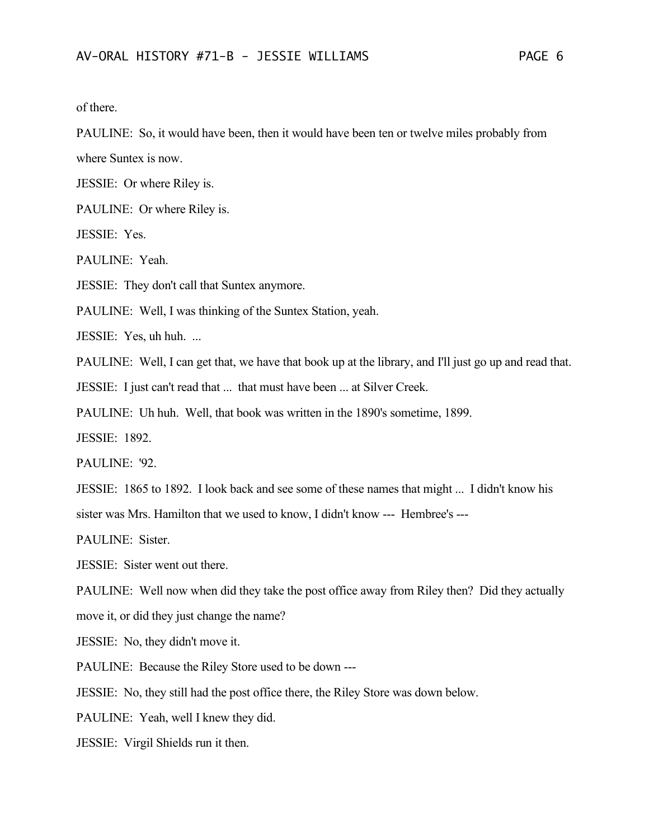of there.

PAULINE: So, it would have been, then it would have been ten or twelve miles probably from where Suntex is now.

JESSIE: Or where Riley is.

PAULINE: Or where Riley is.

JESSIE: Yes.

PAULINE: Yeah.

JESSIE: They don't call that Suntex anymore.

PAULINE: Well, I was thinking of the Suntex Station, yeah.

JESSIE: Yes, uh huh. ...

PAULINE: Well, I can get that, we have that book up at the library, and I'll just go up and read that.

JESSIE: I just can't read that ... that must have been ... at Silver Creek.

PAULINE: Uh huh. Well, that book was written in the 1890's sometime, 1899.

JESSIE: 1892.

PAULINE: '92.

JESSIE: 1865 to 1892. I look back and see some of these names that might ... I didn't know his

sister was Mrs. Hamilton that we used to know, I didn't know --- Hembree's ---

PAULINE: Sister.

JESSIE: Sister went out there.

PAULINE: Well now when did they take the post office away from Riley then? Did they actually

move it, or did they just change the name?

JESSIE: No, they didn't move it.

PAULINE: Because the Riley Store used to be down ---

JESSIE: No, they still had the post office there, the Riley Store was down below.

PAULINE: Yeah, well I knew they did.

JESSIE: Virgil Shields run it then.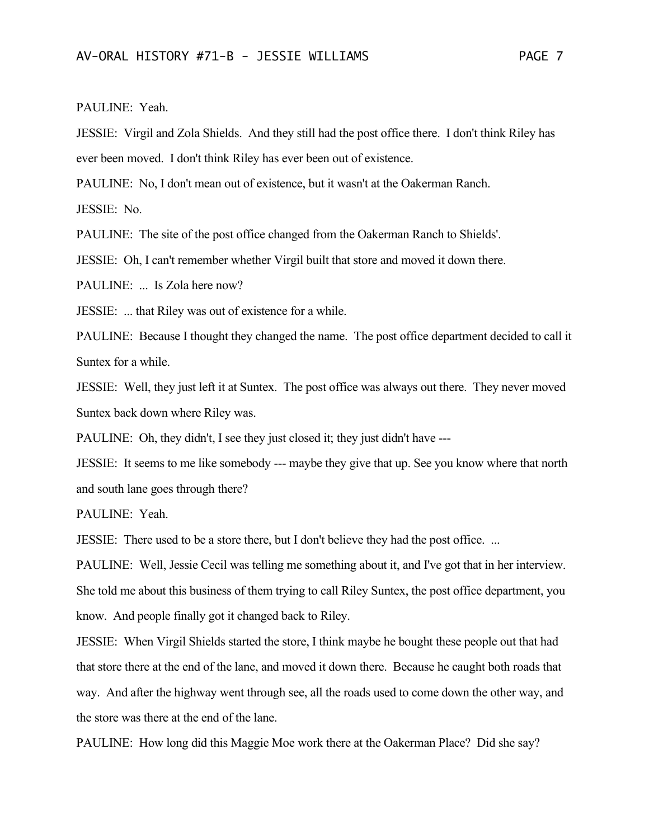## PAULINE: Yeah.

JESSIE: Virgil and Zola Shields. And they still had the post office there. I don't think Riley has ever been moved. I don't think Riley has ever been out of existence.

PAULINE: No, I don't mean out of existence, but it wasn't at the Oakerman Ranch.

JESSIE: No.

PAULINE: The site of the post office changed from the Oakerman Ranch to Shields'.

JESSIE: Oh, I can't remember whether Virgil built that store and moved it down there.

PAULINE: ... Is Zola here now?

JESSIE: ... that Riley was out of existence for a while.

PAULINE: Because I thought they changed the name. The post office department decided to call it Suntex for a while.

JESSIE: Well, they just left it at Suntex. The post office was always out there. They never moved Suntex back down where Riley was.

PAULINE: Oh, they didn't, I see they just closed it; they just didn't have ---

JESSIE: It seems to me like somebody --- maybe they give that up. See you know where that north and south lane goes through there?

PAULINE: Yeah.

JESSIE: There used to be a store there, but I don't believe they had the post office. ...

PAULINE: Well, Jessie Cecil was telling me something about it, and I've got that in her interview. She told me about this business of them trying to call Riley Suntex, the post office department, you know. And people finally got it changed back to Riley.

JESSIE: When Virgil Shields started the store, I think maybe he bought these people out that had that store there at the end of the lane, and moved it down there. Because he caught both roads that way. And after the highway went through see, all the roads used to come down the other way, and the store was there at the end of the lane.

PAULINE: How long did this Maggie Moe work there at the Oakerman Place? Did she say?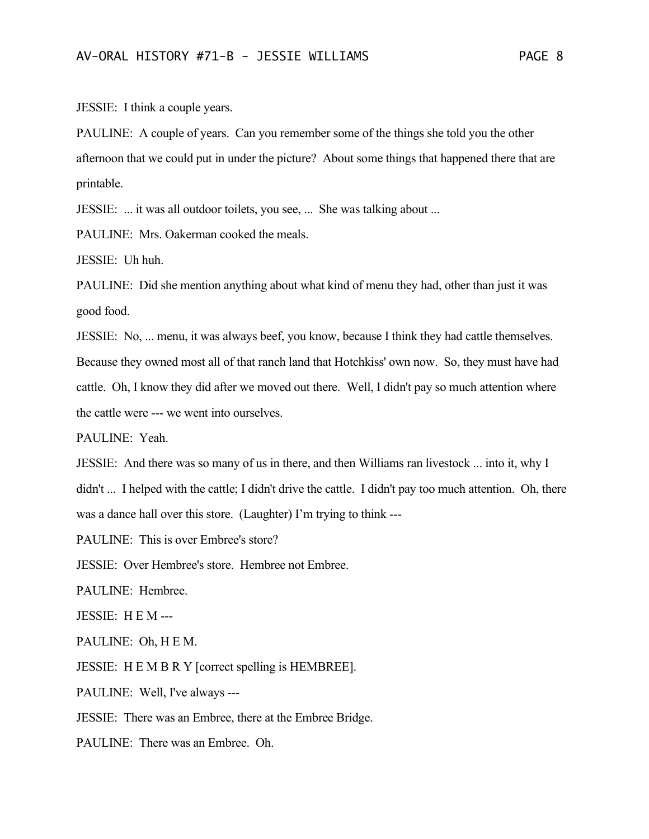JESSIE: I think a couple years.

PAULINE: A couple of years. Can you remember some of the things she told you the other afternoon that we could put in under the picture? About some things that happened there that are printable.

JESSIE: ... it was all outdoor toilets, you see, ... She was talking about ...

PAULINE: Mrs. Oakerman cooked the meals.

JESSIE: Uh huh.

PAULINE: Did she mention anything about what kind of menu they had, other than just it was good food.

JESSIE: No, ... menu, it was always beef, you know, because I think they had cattle themselves.

Because they owned most all of that ranch land that Hotchkiss' own now. So, they must have had cattle. Oh, I know they did after we moved out there. Well, I didn't pay so much attention where the cattle were --- we went into ourselves.

PAULINE: Yeah.

JESSIE: And there was so many of us in there, and then Williams ran livestock ... into it, why I didn't ... I helped with the cattle; I didn't drive the cattle. I didn't pay too much attention. Oh, there was a dance hall over this store. (Laughter) I'm trying to think ---

PAULINE: This is over Embree's store?

JESSIE: Over Hembree's store. Hembree not Embree.

PAULINE: Hembree.

JESSIE: H E M ---

PAULINE: Oh, H E M.

JESSIE: H E M B R Y [correct spelling is HEMBREE].

PAULINE: Well, I've always ---

JESSIE: There was an Embree, there at the Embree Bridge.

PAULINE: There was an Embree. Oh.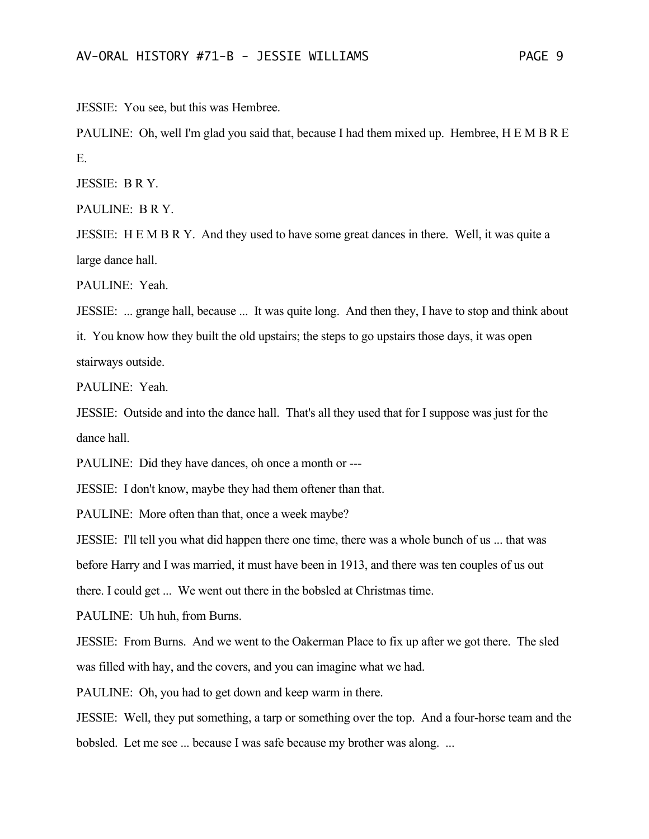JESSIE: You see, but this was Hembree.

PAULINE: Oh, well I'm glad you said that, because I had them mixed up. Hembree, H E M B R E E.

JESSIE: B R Y.

PAULINE: B R Y.

JESSIE: H E M B R Y. And they used to have some great dances in there. Well, it was quite a large dance hall.

PAULINE: Yeah.

JESSIE: ... grange hall, because ... It was quite long. And then they, I have to stop and think about

it. You know how they built the old upstairs; the steps to go upstairs those days, it was open stairways outside.

PAULINE: Yeah.

JESSIE: Outside and into the dance hall. That's all they used that for I suppose was just for the dance hall.

PAULINE: Did they have dances, oh once a month or ---

JESSIE: I don't know, maybe they had them oftener than that.

PAULINE: More often than that, once a week maybe?

JESSIE: I'll tell you what did happen there one time, there was a whole bunch of us ... that was before Harry and I was married, it must have been in 1913, and there was ten couples of us out there. I could get ... We went out there in the bobsled at Christmas time.

PAULINE: Uh huh, from Burns.

JESSIE: From Burns. And we went to the Oakerman Place to fix up after we got there. The sled was filled with hay, and the covers, and you can imagine what we had.

PAULINE: Oh, you had to get down and keep warm in there.

JESSIE: Well, they put something, a tarp or something over the top. And a four-horse team and the bobsled. Let me see ... because I was safe because my brother was along. ...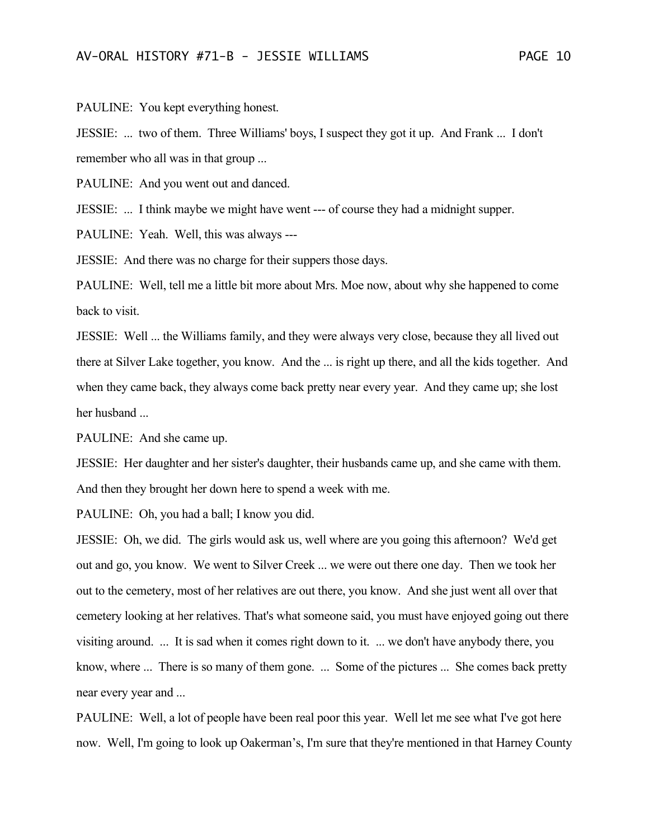PAULINE: You kept everything honest.

JESSIE: ... two of them. Three Williams' boys, I suspect they got it up. And Frank ... I don't remember who all was in that group ...

PAULINE: And you went out and danced.

JESSIE: ... I think maybe we might have went --- of course they had a midnight supper.

PAULINE: Yeah. Well, this was always ---

JESSIE: And there was no charge for their suppers those days.

PAULINE: Well, tell me a little bit more about Mrs. Moe now, about why she happened to come back to visit.

JESSIE: Well ... the Williams family, and they were always very close, because they all lived out there at Silver Lake together, you know. And the ... is right up there, and all the kids together. And when they came back, they always come back pretty near every year. And they came up; she lost her husband ...

PAULINE: And she came up.

JESSIE: Her daughter and her sister's daughter, their husbands came up, and she came with them. And then they brought her down here to spend a week with me.

PAULINE: Oh, you had a ball; I know you did.

JESSIE: Oh, we did. The girls would ask us, well where are you going this afternoon? We'd get out and go, you know. We went to Silver Creek ... we were out there one day. Then we took her out to the cemetery, most of her relatives are out there, you know. And she just went all over that cemetery looking at her relatives. That's what someone said, you must have enjoyed going out there visiting around. ... It is sad when it comes right down to it. ... we don't have anybody there, you know, where ... There is so many of them gone. ... Some of the pictures ... She comes back pretty near every year and ...

PAULINE: Well, a lot of people have been real poor this year. Well let me see what I've got here now. Well, I'm going to look up Oakerman's, I'm sure that they're mentioned in that Harney County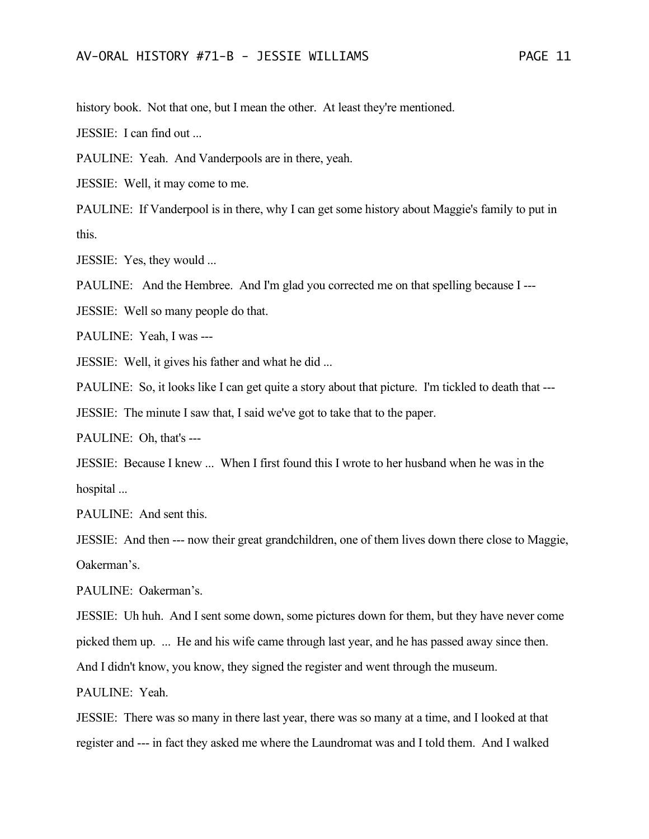history book. Not that one, but I mean the other. At least they're mentioned.

JESSIE: I can find out ...

PAULINE: Yeah. And Vanderpools are in there, yeah.

JESSIE: Well, it may come to me.

PAULINE: If Vanderpool is in there, why I can get some history about Maggie's family to put in this.

JESSIE: Yes, they would ...

PAULINE: And the Hembree. And I'm glad you corrected me on that spelling because I ---

JESSIE: Well so many people do that.

PAULINE: Yeah, I was ---

JESSIE: Well, it gives his father and what he did ...

PAULINE: So, it looks like I can get quite a story about that picture. I'm tickled to death that ---

JESSIE: The minute I saw that, I said we've got to take that to the paper.

PAULINE: Oh, that's ---

JESSIE: Because I knew ... When I first found this I wrote to her husband when he was in the hospital ...

PAULINE: And sent this.

JESSIE: And then --- now their great grandchildren, one of them lives down there close to Maggie, Oakerman's.

PAULINE: Oakerman's.

JESSIE: Uh huh. And I sent some down, some pictures down for them, but they have never come picked them up. ... He and his wife came through last year, and he has passed away since then.

And I didn't know, you know, they signed the register and went through the museum.

PAULINE: Yeah.

JESSIE: There was so many in there last year, there was so many at a time, and I looked at that register and --- in fact they asked me where the Laundromat was and I told them. And I walked